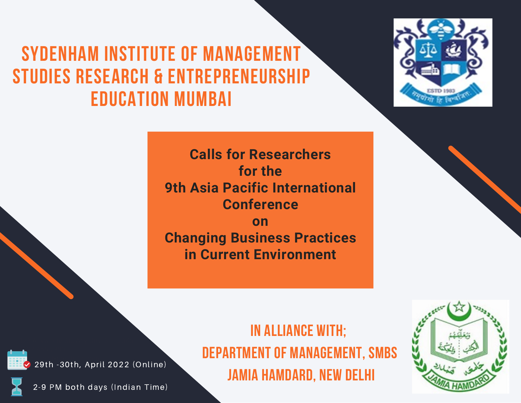# **SYDENHAM INSTITUTE OF MANAGEMENT STUDIES RESEARCH & ENTREPRENEURSHIP EDUCATION MUMBAI**



**Calls for Researchers for the 9th Asia Pacific International Conference on Changing Business Practices in Current Environment**





hello@reallygreatsite.com  $\sim$  29th -30th, April 2022 (Online)

2-9 PM both days (Indian Time)

**IN ALLIANCE WITH; DEPARTMENT OF MANAGEMENT, SMBS JAMIA HAMDARD, NEW DELHI**

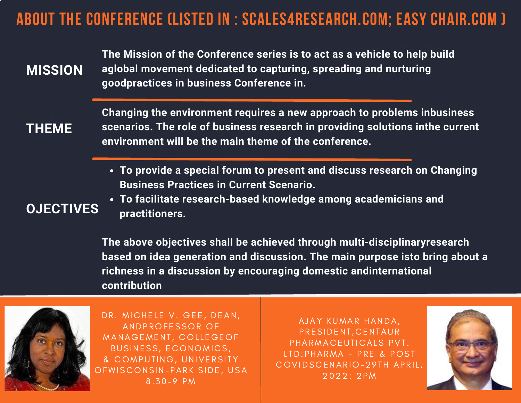## **ABOUT THE CONFERENCE (LISTED IN : SCALES4RESEARCH.COM; EASY CHAIR.COM )**

**The Mission of the Conference series is to act as a vehicle to help build aglobal movement dedicated to capturing, spreading and nurturing goodpractices in business Conference in. MISSION MISSION The Mission of the Conference series is to act as a vehicle to help build aglobal movement dedicated to capturing, spreading and nurturing goodpractices in business Conference in.**

**THEME THEME** **Changing the environment requires a new approach to problems inbusiness scenarios. The role of business research in providing solutions inthe current environment will be the main theme of the conference. Changing the environment requires a new approach to problems inbusiness scenarios. The role of business research in providing solutions inthe current environment will be the main theme of the conference.**

**To provide a special forum to present and discuss research on Changing Business Practices in Current Scenario.**

#### **O IECTIVE OJECTIVES**

**To facilitate research-based knowledge among academicians and practitioners.**

**The above objectives shall be achieved through multi-disciplinaryresearch based on idea generation and discussion. The main purpose isto bring about a richness in a discussion by encouraging domestic andinternational contribution**



DR. MICHELE V. GEE, DEAN, ANDPROFESSOR OF MANAGEMENT, COLLEGEOF BUSINESS, ECONOMICS, & COMPUTING, UNIVERSITY OFWISCONSIN-PARK SIDE, USA 8 . 3 0 - 9 PM

AJAY KUMAR HANDA, PRESIDENT, CENTAUR PHARMACEUTICALS PVT. L TD: PHARMA - PRE & POST COVIDS CENARIO - 29 TH APRIL, 2022: 2PM

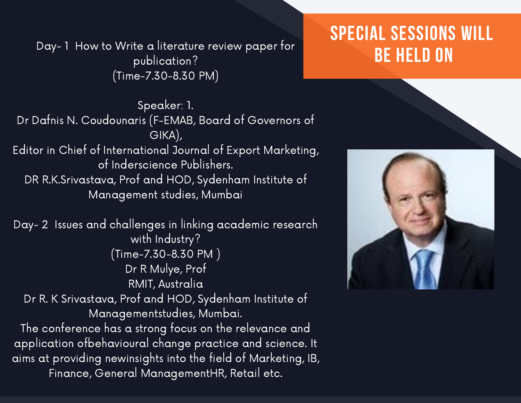Day- 1 How to Write a literature review paper for publication? (Time-7.30-8.30 PM)

## **SPECIAL SESSIONS WILL BE HELD ON**

Speaker: 1. Dr Dafnis N. Coudounaris (F-EMAB, Board of Governors of GIKA), Editor in Chief of International Journal of Export Marketing, of Inderscience Publishers. DR R.K.Srivastava, Prof and HOD, Sydenham Institute of Management studies, Mumbai

Day- 2 Issues and challenges in linking academic research with Industry? (Time-7.30-8.30 PM ) Dr R Mulye, Prof RMIT, Australia Dr R. K Srivastava, Prof and HOD, Sydenham Institute of Managementstudies, Mumbai. The conference has a strong focus on the relevance and

application ofbehavioural change practice and science. It aims at providing newinsights into the field of Marketing, IB, Finance, General ManagementHR, Retail etc.



**COMPANY BROCHURE**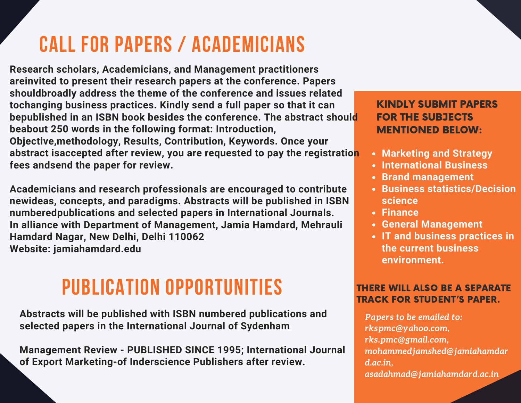# **CALL FOR PAPERS / ACADEMICIANS**

**Research scholars, Academicians, and Management practitioners areinvited to present their research papers at the conference. Papers shouldbroadly address the theme of the conference and issues related tochanging business practices. Kindly send a full paper so that it can bepublished in an ISBN book besides the conference. The abstract should beabout 250 words in the following format: Introduction, Objective,methodology, Results, Contribution, Keywords. Once your abstract isaccepted after review, you are requested to pay the registration fees andsend the paper for review.**

**Academicians and research professionals are encouraged to contribute newideas, concepts, and paradigms. Abstracts will be published in ISBN numberedpublications and selected papers in International Journals. In alliance with Department of Management, Jamia Hamdard, Mehrauli Hamdard Nagar, New Delhi, Delhi 110062 Website: jamiahamdard.edu**

# **PUBLICATION OPPORTUNITIES**

**Abstracts will be published with ISBN numbered publications and selected papers in the International Journal of Sydenham**

**Management Review - PUBLISHED SINCE 1995; International Journal of Export Marketing-of Inderscience Publishers after review.**

### KINDLY SUBMIT PAPERS FOR THE SUBJECTS MENTIONED BELOW:

- **Marketing and Strategy**
- **International Business**
- **Brand management**
- **Business statistics/Decision science**
- **Finance**
- **General Management**
- **IT and business practices in the current business environment.**

#### THERE WILL ALSO BE A SEPARATE TRACK FOR STUDENT'S PAPER.

*Papers to be emailed to: rkspmc@yahoo.com, rks.pmc@gmail.com, mohammedjamshed@jamiahamdar d.ac.in, asadahmad@jamiahamdard.ac.in*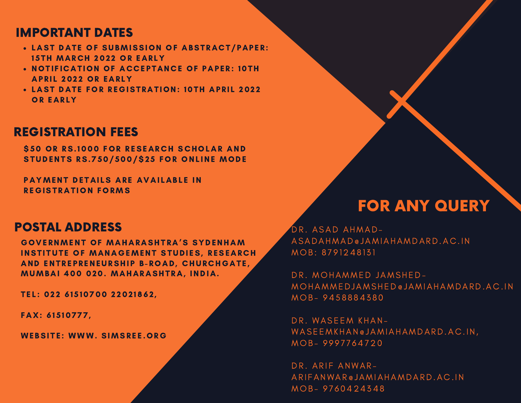### IMPORTANT DATES

- LAST DATE OF SUBMISSION OF ABSTRACT/PAPER: 15TH MARCH 2022 OR EARLY
- NOTIFICATION OF ACCEPTANCE OF PAPER: 10TH **APRIL 2022 OR EARLY**
- LAST DATE FOR REGISTRATION: 10TH APRIL 2022 OR EARLY

### REGISTRATION FEES

**\$50 OR RS. 1000 FOR RESEARCH SCHOLAR AND STUDENTS RS.750/500/\$25 FOR ONLINE MODE** 

PAYMENT DETAILS ARE AVAILABLE IN REGISTRATION FORMS

### POSTAL ADDRESS

GOVERNMENT OF MAHARASHTRA'S SYDENHAM INSTITUTE OF MANAGEMENT STUDIES, RESEARCH AND ENTREPRENEURSHIP B-ROAD, CHURCHGATE, MUMBAI 400 020. MAHARASHTRA, INDIA.

TEL: 022 61510700 22021862,

FAX: 61510777,

WEBSITE: WWW. SIMSREE.ORG

### FOR ANY QUERY

DR. ASAD AHMAD-ASADAHMAD@ JAMIAHAMDARD.A C . IN MOB: 8791248131

DR. MOHAMMED JAMSHED-MOHAMMEDJAMSHED@JAMIAHAMDARD.AC.IN MOB-9458884380

DR. WASEEM KHAN-WASEEMKHAN@ JAMIAHAMDARD.AC.IN, MOB-9997764720

DR. ARIF ANWAR-ARIFANWAR @ JAMIAHAMDARD.AC.IN MOB-9760424348